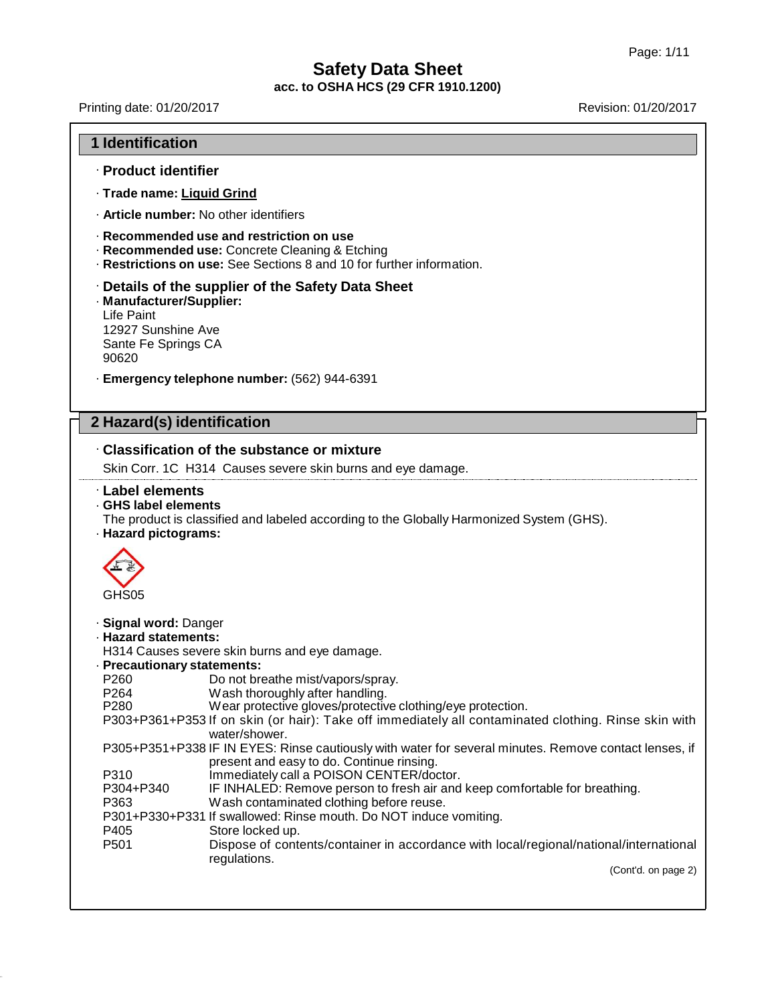### **Safety Data Sheet acc. to OSHA HCS (29 CFR 1910.1200)**

Printing date: 01/20/2017 Revision: 01/20/2017

| <b>1 Identification</b>                                                                      |                                                                                                                                                                                                                                                             |
|----------------------------------------------------------------------------------------------|-------------------------------------------------------------------------------------------------------------------------------------------------------------------------------------------------------------------------------------------------------------|
| · Product identifier                                                                         |                                                                                                                                                                                                                                                             |
| · Trade name: Liquid Grind                                                                   |                                                                                                                                                                                                                                                             |
| · Article number: No other identifiers                                                       |                                                                                                                                                                                                                                                             |
|                                                                                              | · Recommended use and restriction on use<br>· Recommended use: Concrete Cleaning & Etching<br>Restrictions on use: See Sections 8 and 10 for further information.                                                                                           |
| - Manufacturer/Supplier:<br>Life Paint<br>12927 Sunshine Ave<br>Sante Fe Springs CA<br>90620 | Details of the supplier of the Safety Data Sheet                                                                                                                                                                                                            |
|                                                                                              | · Emergency telephone number: (562) 944-6391                                                                                                                                                                                                                |
|                                                                                              |                                                                                                                                                                                                                                                             |
| 2 Hazard(s) identification                                                                   |                                                                                                                                                                                                                                                             |
|                                                                                              | . Classification of the substance or mixture<br>Skin Corr. 1C H314 Causes severe skin burns and eye damage.                                                                                                                                                 |
| · Label elements<br>GHS label elements<br>· Hazard pictograms:<br>GHS05                      | The product is classified and labeled according to the Globally Harmonized System (GHS).                                                                                                                                                                    |
| · Signal word: Danger                                                                        |                                                                                                                                                                                                                                                             |
| · Hazard statements:                                                                         | H314 Causes severe skin burns and eye damage.                                                                                                                                                                                                               |
| · Precautionary statements:                                                                  |                                                                                                                                                                                                                                                             |
| P <sub>260</sub><br>P264                                                                     | Do not breathe mist/vapors/spray.<br>Wash thoroughly after handling.                                                                                                                                                                                        |
| P280                                                                                         | Wear protective gloves/protective clothing/eye protection.<br>P303+P361+P353 If on skin (or hair): Take off immediately all contaminated clothing. Rinse skin with<br>water/shower.                                                                         |
|                                                                                              | P305+P351+P338 IF IN EYES: Rinse cautiously with water for several minutes. Remove contact lenses, if<br>present and easy to do. Continue rinsing.                                                                                                          |
| P310<br>P304+P340<br>P363<br>P405                                                            | Immediately call a POISON CENTER/doctor.<br>IF INHALED: Remove person to fresh air and keep comfortable for breathing.<br>Wash contaminated clothing before reuse.<br>P301+P330+P331 If swallowed: Rinse mouth. Do NOT induce vomiting.<br>Store locked up. |
| P501                                                                                         | Dispose of contents/container in accordance with local/regional/national/international<br>regulations.                                                                                                                                                      |
|                                                                                              | (Cont'd. on page 2)                                                                                                                                                                                                                                         |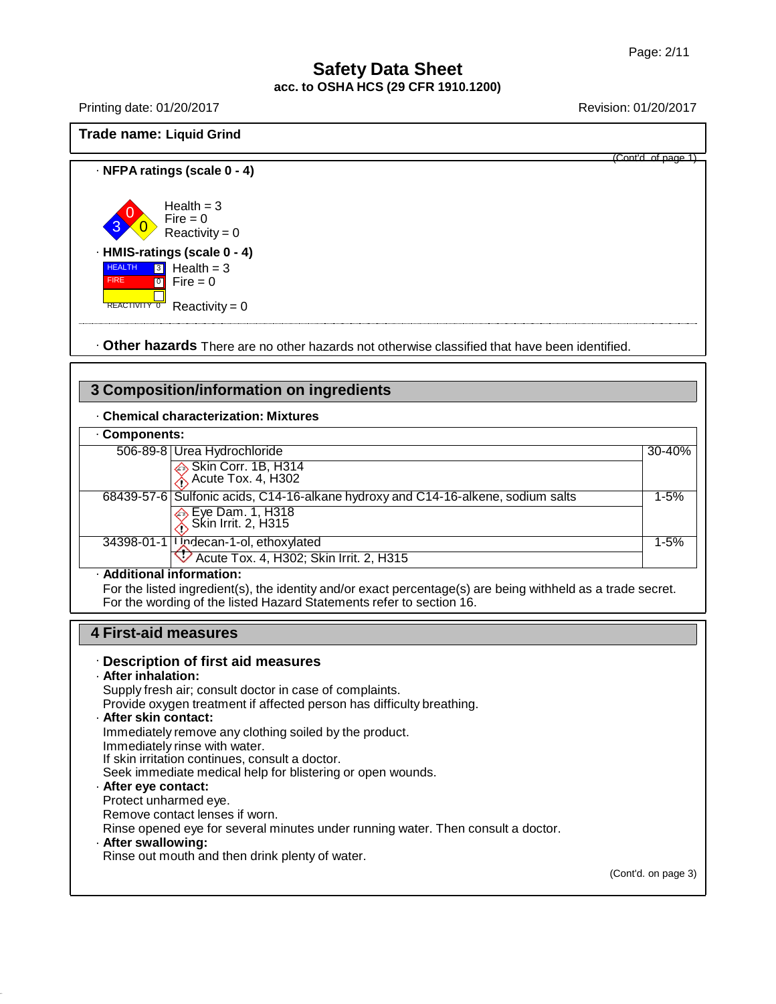#### **Safety Data Sheet acc. to OSHA HCS (29 CFR 1910.1200)**

Printing date: 01/20/2017 Revision: 01/20/2017

**Trade name: Liquid Grind** · **NFPA ratings (scale 0 - 4)** (Cont'd. of page 1)  $Health = 3$ Fire  $= 0$  $Reactivity = 0$ · **HMIS-ratings (scale 0 - 4)** HEALTH FIRE  $\overline{\phantom{a}}$  Health = 3  $\overline{0}$  Fire = 0  $R_{\text{EACTIVITY 0}}$  Reactivity = 0 · **Other hazards** There are no other hazards not otherwise classified that have been identified.

### **3 Composition/information on ingredients**

· **Chemical characterization: Mixtures**

| Components:                                                                      |            |
|----------------------------------------------------------------------------------|------------|
| 506-89-8 Urea Hydrochloride                                                      | $30 - 40%$ |
| Skin Corr. 1B, H314                                                              |            |
| 68439-57-6 Sulfonic acids, C14-16-alkane hydroxy and C14-16-alkene, sodium salts | $1 - 5%$   |
| ≽ Eye Dam. 1, H318<br>∫ Skin Irrit. 2, H315                                      |            |
| 34398-01-1 Lodecan-1-ol, ethoxylated                                             | $1 - 5%$   |
| Acute Tox. 4, H302; Skin Irrit. 2, H315                                          |            |
| . Additional information:                                                        |            |

· **Additional information:**

For the listed ingredient(s), the identity and/or exact percentage(s) are being withheld as a trade secret. For the wording of the listed Hazard Statements refer to section 16.

#### **4 First-aid measures**

#### · **Description of first aid measures**

#### · **After inhalation:**

Supply fresh air; consult doctor in case of complaints. Provide oxygen treatment if affected person has difficulty breathing. · **After skin contact:** Immediately remove any clothing soiled by the product. Immediately rinse with water. If skin irritation continues, consult a doctor. Seek immediate medical help for blistering or open wounds. · **After eye contact:** Protect unharmed eye. Remove contact lenses if worn. Rinse opened eye for several minutes under running water. Then consult a doctor. · **After swallowing:** Rinse out mouth and then drink plenty of water.

(Cont'd. on page 3)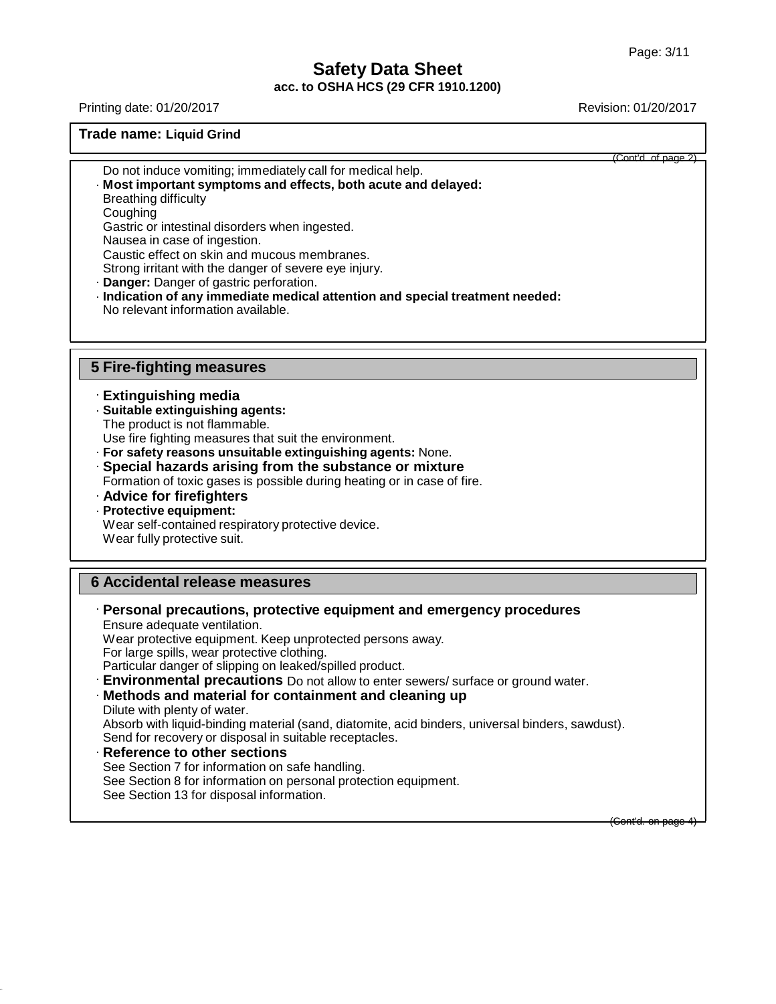**acc. to OSHA HCS (29 CFR 1910.1200)**

#### Printing date: 01/20/2017 Revision: 01/20/2017

(Cont'd. of page 2)

(<del>Cont'd. on pag</del>

#### **Trade name: Liquid Grind**

Do not induce vomiting; immediately call for medical help. · **Most important symptoms and effects, both acute and delayed:** Breathing difficulty Coughing Gastric or intestinal disorders when ingested. Nausea in case of ingestion. Caustic effect on skin and mucous membranes. Strong irritant with the danger of severe eye injury. · **Danger:** Danger of gastric perforation.

· **Indication of any immediate medical attention and special treatment needed:** No relevant information available.

#### **5 Fire-fighting measures**

- · **Extinguishing media**
- · **Suitable extinguishing agents:**
- The product is not flammable.
- Use fire fighting measures that suit the environment.
- · **For safety reasons unsuitable extinguishing agents:** None.
- · **Special hazards arising from the substance or mixture** Formation of toxic gases is possible during heating or in case of fire.
- · **Advice for firefighters**
- · **Protective equipment:**

Wear self-contained respiratory protective device. Wear fully protective suit.

#### **6 Accidental release measures**

· **Personal precautions, protective equipment and emergency procedures** Ensure adequate ventilation. Wear protective equipment. Keep unprotected persons away.

For large spills, wear protective clothing. Particular danger of slipping on leaked/spilled product.

- · **Environmental precautions** Do not allow to enter sewers/ surface or ground water.
- · **Methods and material for containment and cleaning up** Dilute with plenty of water.

Absorb with liquid-binding material (sand, diatomite, acid binders, universal binders, sawdust). Send for recovery or disposal in suitable receptacles.

· **Reference to other sections** See Section 7 for information on safe handling. See Section 8 for information on personal protection equipment. See Section 13 for disposal information.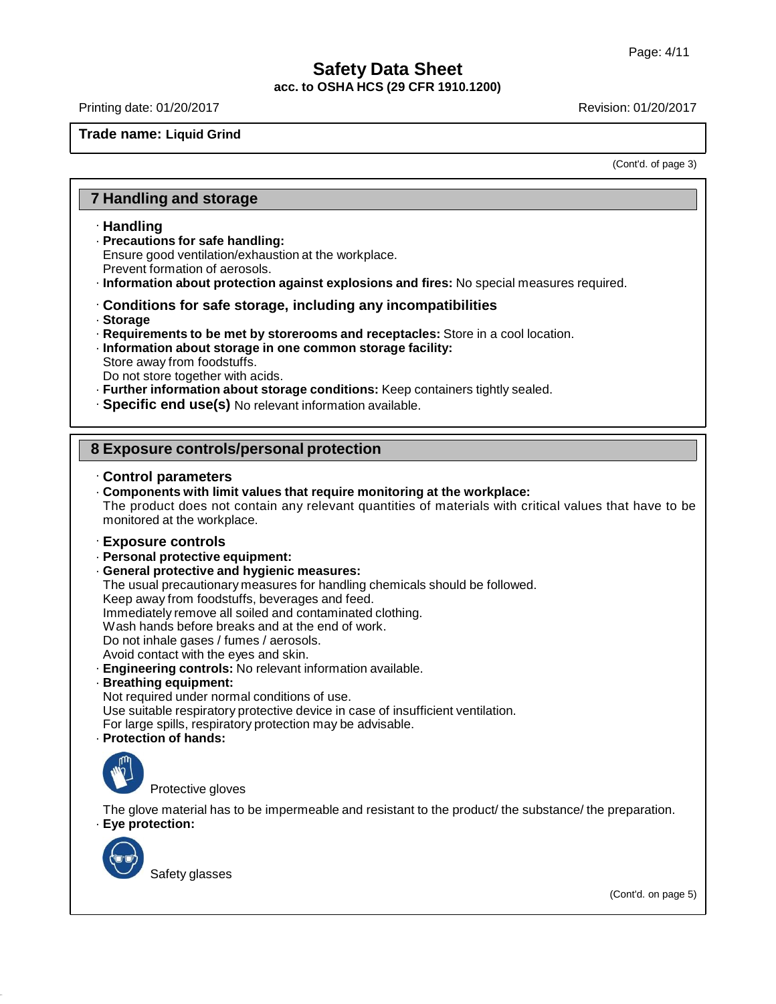**acc. to OSHA HCS (29 CFR 1910.1200)**

Printing date: 01/20/2017 Revision: 01/20/2017

**Trade name: Liquid Grind**

(Cont'd. of page 3)

#### **7 Handling and storage**

- · **Handling**
- · **Precautions for safe handling:**

Ensure good ventilation/exhaustion at the workplace.

- Prevent formation of aerosols.
- · **Information about protection against explosions and fires:** No special measures required.
- · **Conditions for safe storage, including any incompatibilities**
- · **Storage**
- · **Requirements to be met by storerooms and receptacles:** Store in a cool location.
- · **Information about storage in one common storage facility:**

Store away from foodstuffs.

- Do not store together with acids.
- · **Further information about storage conditions:** Keep containers tightly sealed.
- · **Specific end use(s)** No relevant information available.

#### **8 Exposure controls/personal protection**

#### · **Control parameters**

· **Components with limit values that require monitoring at the workplace:** The product does not contain any relevant quantities of materials with critical values that have to be monitored at the workplace.

#### · **Exposure controls**

- · **Personal protective equipment:**
- · **General protective and hygienic measures:**

The usual precautionary measures for handling chemicals should be followed.

Keep away from foodstuffs, beverages and feed.

Immediately remove all soiled and contaminated clothing.

Wash hands before breaks and at the end of work.

Do not inhale gases / fumes / aerosols.

Avoid contact with the eyes and skin.

- · **Engineering controls:** No relevant information available.
- · **Breathing equipment:**

Not required under normal conditions of use. Use suitable respiratory protective device in case of insufficient ventilation. For large spills, respiratory protection may be advisable.

· **Protection of hands:**



Protective gloves

The glove material has to be impermeable and resistant to the product/ the substance/ the preparation. · **Eye protection:**



Safety glasses

(Cont'd. on page 5)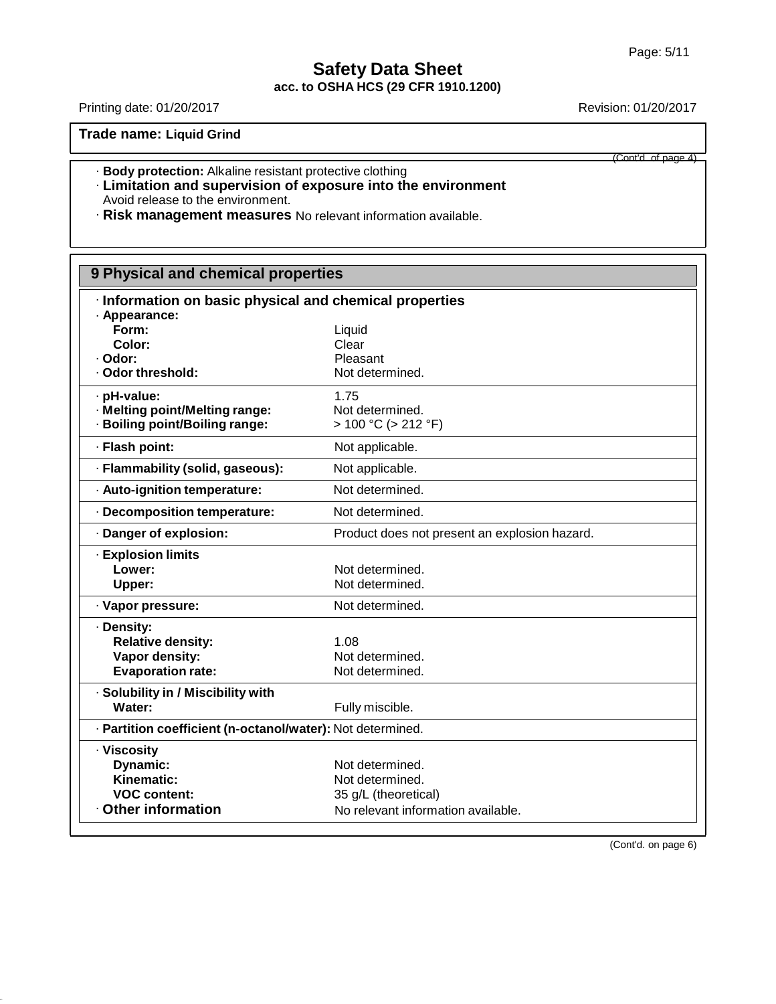**acc. to OSHA HCS (29 CFR 1910.1200)**

Printing date: 01/20/2017 **Printing date: 01/20/2017** 

(Cont'd. of page 4)

**Trade name: Liquid Grind**

· **Body protection:** Alkaline resistant protective clothing

· **Limitation and supervision of exposure into the environment** Avoid release to the environment.

· **Risk management measures** No relevant information available.

| 9 Physical and chemical properties                         |                                               |  |  |
|------------------------------------------------------------|-----------------------------------------------|--|--|
| Information on basic physical and chemical properties      |                                               |  |  |
| · Appearance:                                              |                                               |  |  |
| Form:                                                      | Liquid                                        |  |  |
| Color:                                                     | Clear                                         |  |  |
| · Odor:                                                    | Pleasant                                      |  |  |
| · Odor threshold:                                          | Not determined.                               |  |  |
| · pH-value:                                                | 1.75                                          |  |  |
| · Melting point/Melting range:                             | Not determined.                               |  |  |
| · Boiling point/Boiling range:                             | $> 100 °C$ ( $> 212 °F$ )                     |  |  |
| · Flash point:                                             | Not applicable.                               |  |  |
| · Flammability (solid, gaseous):                           | Not applicable.                               |  |  |
| · Auto-ignition temperature:                               | Not determined.                               |  |  |
| · Decomposition temperature:                               | Not determined.                               |  |  |
| · Danger of explosion:                                     | Product does not present an explosion hazard. |  |  |
| <b>Explosion limits</b>                                    |                                               |  |  |
| Lower:                                                     | Not determined.                               |  |  |
| Upper:                                                     | Not determined.                               |  |  |
| · Vapor pressure:                                          | Not determined.                               |  |  |
| · Density:                                                 |                                               |  |  |
| <b>Relative density:</b>                                   | 1.08                                          |  |  |
| Vapor density:                                             | Not determined.                               |  |  |
| <b>Evaporation rate:</b>                                   | Not determined.                               |  |  |
| · Solubility in / Miscibility with                         |                                               |  |  |
| Water:                                                     | Fully miscible.                               |  |  |
| · Partition coefficient (n-octanol/water): Not determined. |                                               |  |  |
| · Viscosity                                                |                                               |  |  |
| Dynamic:                                                   | Not determined.                               |  |  |
| <b>Kinematic:</b>                                          | Not determined.                               |  |  |
| <b>VOC content:</b>                                        | 35 g/L (theoretical)                          |  |  |
| Other information                                          | No relevant information available.            |  |  |
|                                                            |                                               |  |  |

(Cont'd. on page 6)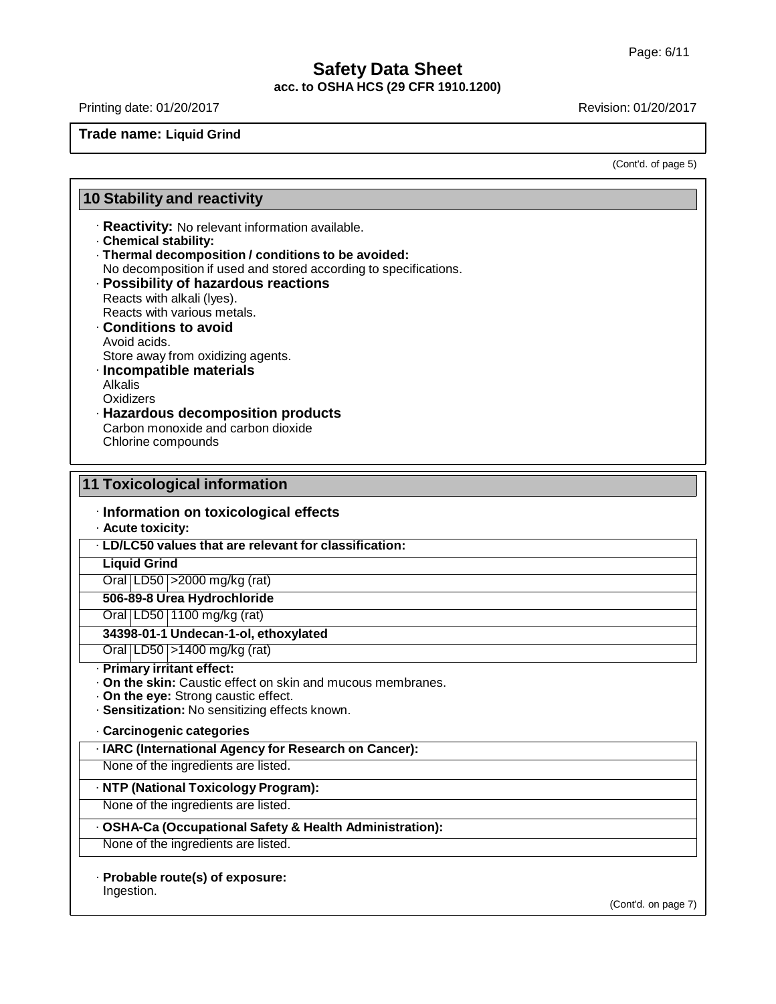**acc. to OSHA HCS (29 CFR 1910.1200)**

Printing date: 01/20/2017 Revision: 01/20/2017

**Trade name: Liquid Grind**

(Cont'd. of page 5)

#### **10 Stability and reactivity**

· **Reactivity:** No relevant information available.

- · **Chemical stability:**
- · **Thermal decomposition / conditions to be avoided:** No decomposition if used and stored according to specifications.
- · **Possibility of hazardous reactions** Reacts with alkali (lyes). Reacts with various metals.
- · **Conditions to avoid** Avoid acids.
- Store away from oxidizing agents. · **Incompatible materials**
- Alkalis **Oxidizers**
- · **Hazardous decomposition products**
- Carbon monoxide and carbon dioxide
- Chlorine compounds

#### **11 Toxicological information**

- · **Information on toxicological effects**
- · **Acute toxicity:**
- · **LD/LC50 values that are relevant for classification:**

#### **Liquid Grind**

Oral LD50 >2000 mg/kg (rat)

**506-89-8 Urea Hydrochloride**

Oral LD50 1100 mg/kg (rat)

#### **34398-01-1 Undecan-1-ol, ethoxylated**

Oral LD50 >1400 mg/kg (rat)

#### · **Primary irritant effect:**

- · **On the skin:** Caustic effect on skin and mucous membranes.
- · **On the eye:** Strong caustic effect.
- · **Sensitization:** No sensitizing effects known.
- · **Carcinogenic categories**
- · **IARC (International Agency for Research on Cancer):**

None of the ingredients are listed.

#### · **NTP (National Toxicology Program):**

None of the ingredients are listed.

#### · **OSHA-Ca (Occupational Safety & Health Administration):**

None of the ingredients are listed.

#### · **Probable route(s) of exposure:**

Ingestion.

(Cont'd. on page 7)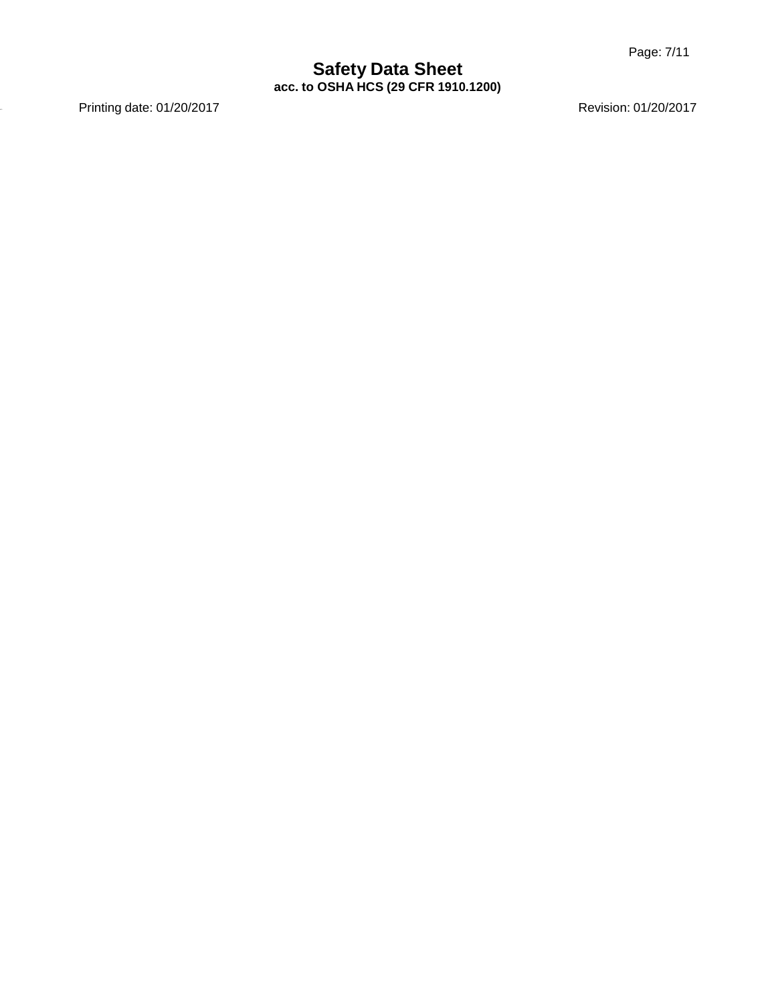### **Safety Data S heet acc. t o OSHA HCS (29 C F R 1910.1200)**

Printing date: 01/20/2017 **Review of the Contract of Contract Automobile** Review of Review of Review of Review of

44. 0

Revision: 01/20/2017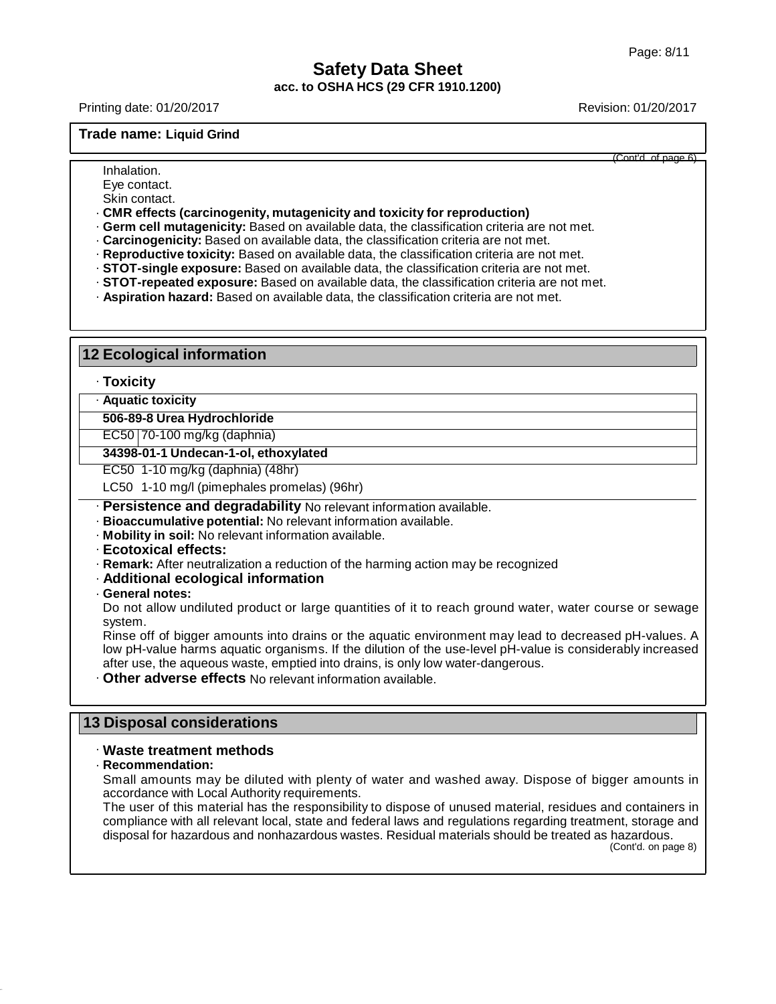**acc. to OSHA HCS (29 CFR 1910.1200)**

Printing date: 01/20/2017 Revision: 01/20/2017

#### **Trade name: Liquid Grind**

(Cont'd. of page 6)

Inhalation.

Eye contact.

Skin contact.

- · **CMR effects (carcinogenity, mutagenicity and toxicity for reproduction)**
- · **Germ cell mutagenicity:** Based on available data, the classification criteria are not met.
- · **Carcinogenicity:** Based on available data, the classification criteria are not met.
- · **Reproductive toxicity:** Based on available data, the classification criteria are not met.
- · **STOT-single exposure:** Based on available data, the classification criteria are not met.
- · **STOT-repeated exposure:** Based on available data, the classification criteria are not met.
- · **Aspiration hazard:** Based on available data, the classification criteria are not met.

#### **12 Ecological information**

#### · **Toxicity**

· **Aquatic toxicity**

#### **506-89-8 Urea Hydrochloride**

EC50 70-100 mg/kg (daphnia)

#### **34398-01-1 Undecan-1-ol, ethoxylated**

EC50 1-10 mg/kg (daphnia) (48hr)

- LC50 1-10 mg/l (pimephales promelas) (96hr)
- · **Persistence and degradability** No relevant information available.
- · **Bioaccumulative potential:** No relevant information available.
- · **Mobility in soil:** No relevant information available.
- · **Ecotoxical effects:**
- · **Remark:** After neutralization a reduction of the harming action may be recognized
- · **Additional ecological information**
- · **General notes:**

Do not allow undiluted product or large quantities of it to reach ground water, water course or sewage system.

Rinse off of bigger amounts into drains or the aquatic environment may lead to decreased pH-values. A low pH-value harms aquatic organisms. If the dilution of the use-level pH-value is considerably increased after use, the aqueous waste, emptied into drains, is only low water-dangerous.

· **Other adverse effects** No relevant information available.

#### **13 Disposal considerations**

#### · **Waste treatment methods**

#### · **Recommendation:**

Small amounts may be diluted with plenty of water and washed away. Dispose of bigger amounts in accordance with Local Authority requirements.

The user of this material has the responsibility to dispose of unused material, residues and containers in compliance with all relevant local, state and federal laws and regulations regarding treatment, storage and disposal for hazardous and nonhazardous wastes. Residual materials should be treated as hazardous.

(Cont'd. on page 8)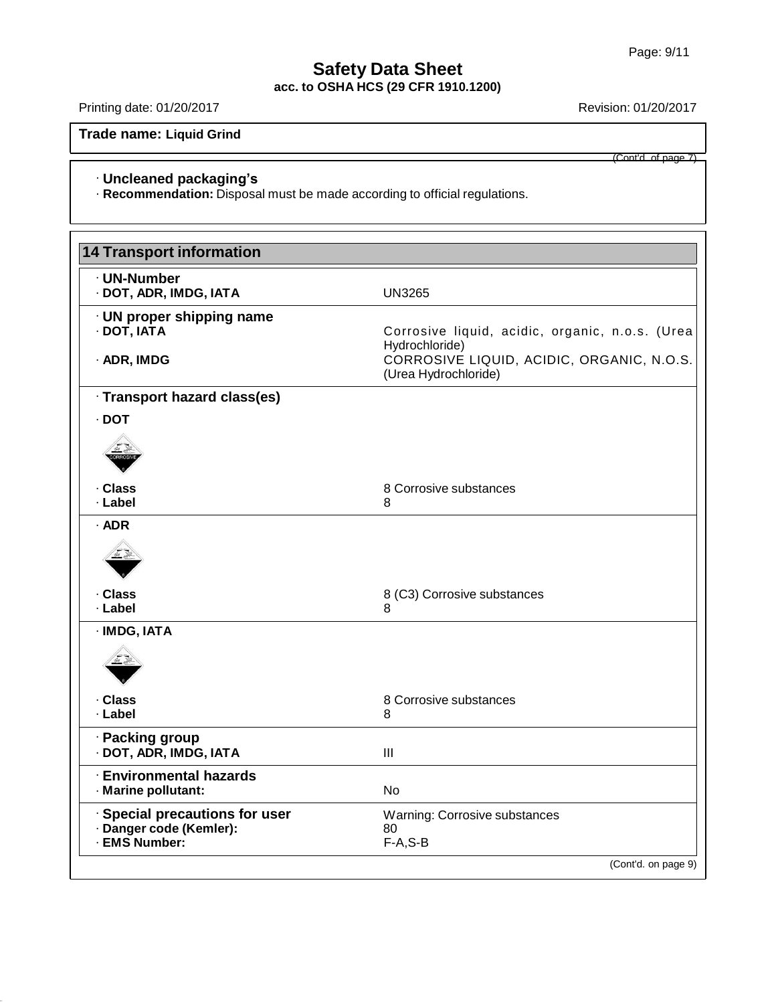**acc. to OSHA HCS (29 CFR 1910.1200)**

Printing date: 01/20/2017 Revision: 01/20/2017

(Cont'd. of page 7)

**Trade name: Liquid Grind**

#### · **Uncleaned packaging's**

· **Recommendation:** Disposal must be made according to official regulations.

| <b>14 Transport information</b>                     |                                                                   |
|-----------------------------------------------------|-------------------------------------------------------------------|
| · UN-Number<br>· DOT, ADR, IMDG, IATA               | <b>UN3265</b>                                                     |
| · UN proper shipping name<br>· DOT, IATA            | Corrosive liquid, acidic, organic, n.o.s. (Urea<br>Hydrochloride) |
| · ADR, IMDG                                         | CORROSIVE LIQUID, ACIDIC, ORGANIC, N.O.S.<br>(Urea Hydrochloride) |
| · Transport hazard class(es)                        |                                                                   |
| $\cdot$ DOT                                         |                                                                   |
|                                                     |                                                                   |
| · Class<br>· Label                                  | 8 Corrosive substances<br>8                                       |
| $·$ ADR                                             |                                                                   |
|                                                     |                                                                   |
| · Class<br>· Label                                  | 8 (C3) Corrosive substances<br>8                                  |
| · IMDG, IATA                                        |                                                                   |
|                                                     |                                                                   |
| · Class<br>· Label                                  | 8 Corrosive substances<br>8                                       |
| · Packing group<br>· DOT, ADR, IMDG, IATA           | $\mathbf{III}$                                                    |
| <b>Environmental hazards</b><br>· Marine pollutant: | <b>No</b>                                                         |
| · Special precautions for user                      | Warning: Corrosive substances                                     |
| · Danger code (Kemler):<br>· EMS Number:            | 80<br>$F-A, S-B$                                                  |
|                                                     | (Cont'd. on page 9)                                               |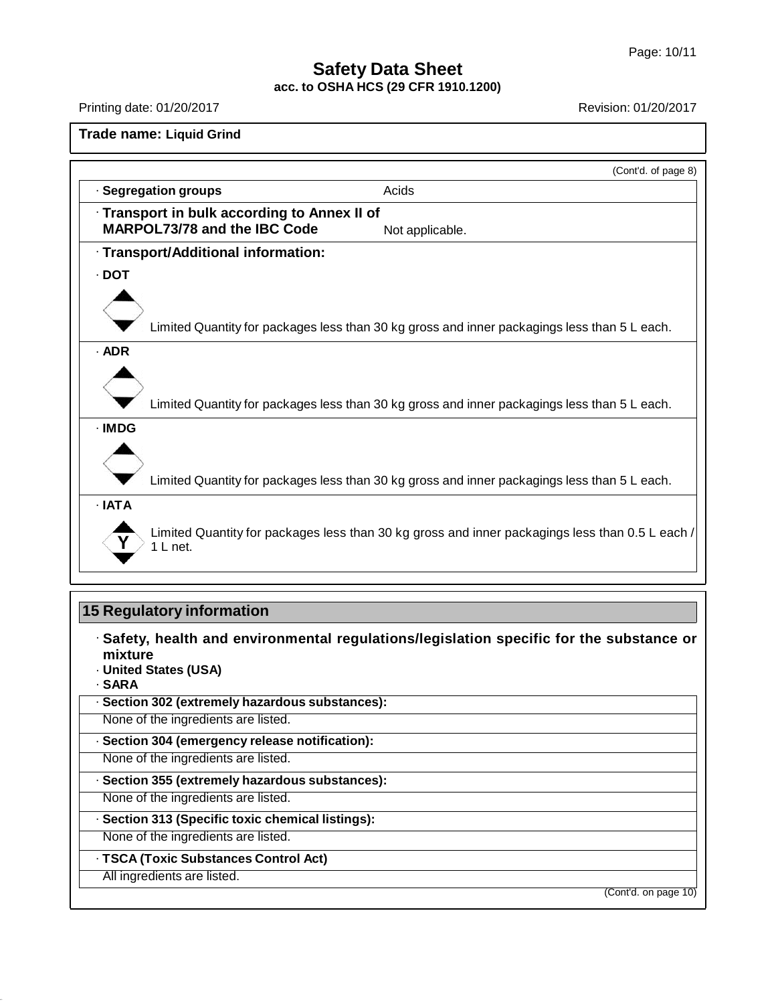**acc. to OSHA HCS (29 CFR 1910.1200)**

Printing date: 01/20/2017 Revision: 01/20/2017

|                                                                              | (Cont'd. of page 8)                                                                             |
|------------------------------------------------------------------------------|-------------------------------------------------------------------------------------------------|
| · Segregation groups                                                         | Acids                                                                                           |
| · Transport in bulk according to Annex II of<br>MARPOL73/78 and the IBC Code | Not applicable.                                                                                 |
| · Transport/Additional information:                                          |                                                                                                 |
| $\cdot$ DOT                                                                  |                                                                                                 |
|                                                                              | Limited Quantity for packages less than 30 kg gross and inner packagings less than 5 L each.    |
| $·$ ADR                                                                      |                                                                                                 |
|                                                                              | Limited Quantity for packages less than 30 kg gross and inner packagings less than 5 L each.    |
| · IMDG                                                                       |                                                                                                 |
|                                                                              | Limited Quantity for packages less than 30 kg gross and inner packagings less than 5 L each.    |
| $\cdot$ IATA                                                                 |                                                                                                 |
| 1 L net.                                                                     | Limited Quantity for packages less than 30 kg gross and inner packagings less than 0.5 L each / |

### **15 Regulatory information**

- · **Safety, health and environmental regulations/legislation specific for the substance or mixture** · **United States (USA)**
- · **SARA**
- · **Section 302 (extremely hazardous substances):** None of the ingredients are listed.
- 
- · **Section 304 (emergency release notification):**
- None of the ingredients are listed.
- · **Section 355 (extremely hazardous substances):**
- None of the ingredients are listed.
- · **Section 313 (Specific toxic chemical listings):**
- None of the ingredients are listed.
- · **TSCA (Toxic Substances Control Act)**
- All ingredients are listed.

(Cont'd. on page 10)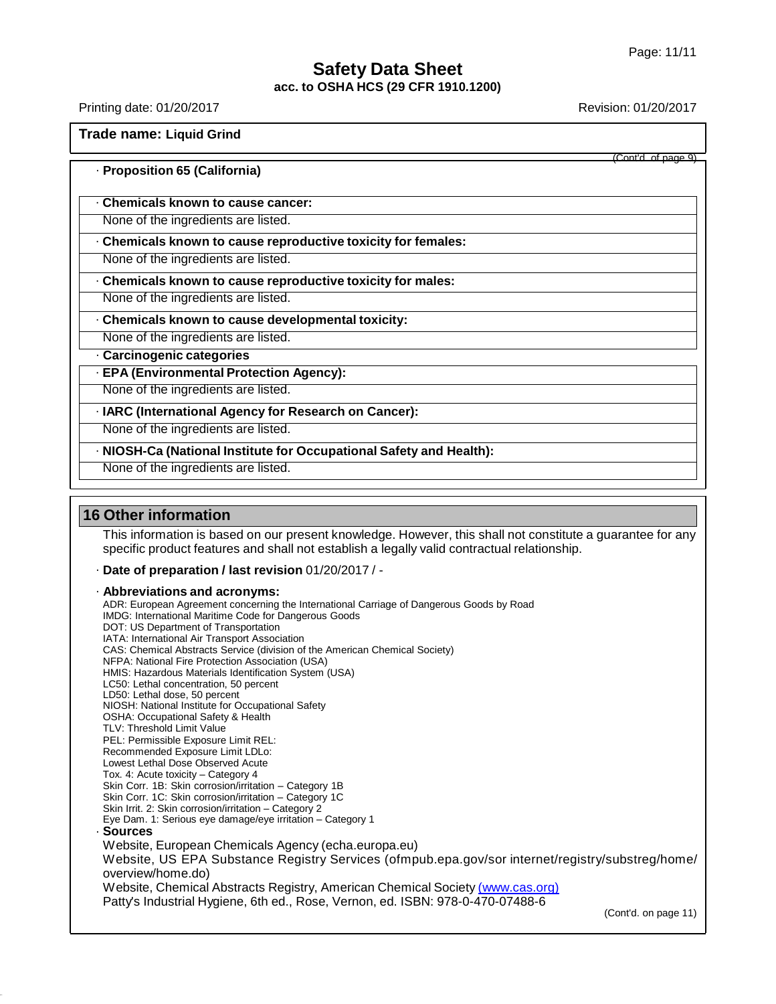**acc. to OSHA HCS (29 CFR 1910.1200)**

Printing date: 01/20/2017 Revision: 01/20/2017

(Cont'd. of page 9)

**Trade name: Liquid Grind**

#### · **Proposition 65 (California)**

#### · **Chemicals known to cause cancer:**

None of the ingredients are listed.

· **Chemicals known to cause reproductive toxicity for females:**

None of the ingredients are listed.

· **Chemicals known to cause reproductive toxicity for males:**

None of the ingredients are listed.

· **Chemicals known to cause developmental toxicity:**

None of the ingredients are listed.

· **Carcinogenic categories**

· **EPA (Environmental Protection Agency):**

None of the ingredients are listed.

· **IARC (International Agency for Research on Cancer):**

None of the ingredients are listed.

· **NIOSH-Ca (National Institute for Occupational Safety and Health):**

None of the ingredients are listed.

#### **16 Other information**

This information is based on our present knowledge. However, this shall not constitute a guarantee for any specific product features and shall not establish a legally valid contractual relationship.

#### · **Date of preparation / last revision** 01/20/2017 / -

· **Abbreviations and acronyms:** ADR: European Agreement concerning the International Carriage of Dangerous Goods by Road IMDG: International Maritime Code for Dangerous Goods DOT: US Department of Transportation IATA: International Air Transport Association CAS: Chemical Abstracts Service (division of the American Chemical Society) NFPA: National Fire Protection Association (USA) HMIS: Hazardous Materials Identification System (USA) LC50: Lethal concentration, 50 percent LD50: Lethal dose, 50 percent NIOSH: National Institute for Occupational Safety OSHA: Occupational Safety & Health TLV: Threshold Limit Value PEL: Permissible Exposure Limit REL: Recommended Exposure Limit LDLo: Lowest Lethal Dose Observed Acute Tox. 4: Acute toxicity – Category 4 Skin Corr. 1B: Skin corrosion/irritation - Category 1B Skin Corr. 1C: Skin corrosion/irritation – Category 1C Skin Irrit. 2: Skin corrosion/irritation - Category 2 Eye Dam. 1: Serious eye damage/eye irritation – Category 1 · **Sources** Website, European Chemicals Agency (echa.europa.eu) Website, US EPA Substance Registry Services (ofmpub.epa.gov/sor internet/registry/substreg/home/ overview/home.do) Website, Chemical Abstracts Registry, American Chemical Society [\(www.cas.org\)](http://(www.cas.org)/) Patty's Industrial Hygiene, 6th ed., Rose, Vernon, ed. ISBN: 978-0-470-07488-6

(Cont'd. on page 11)